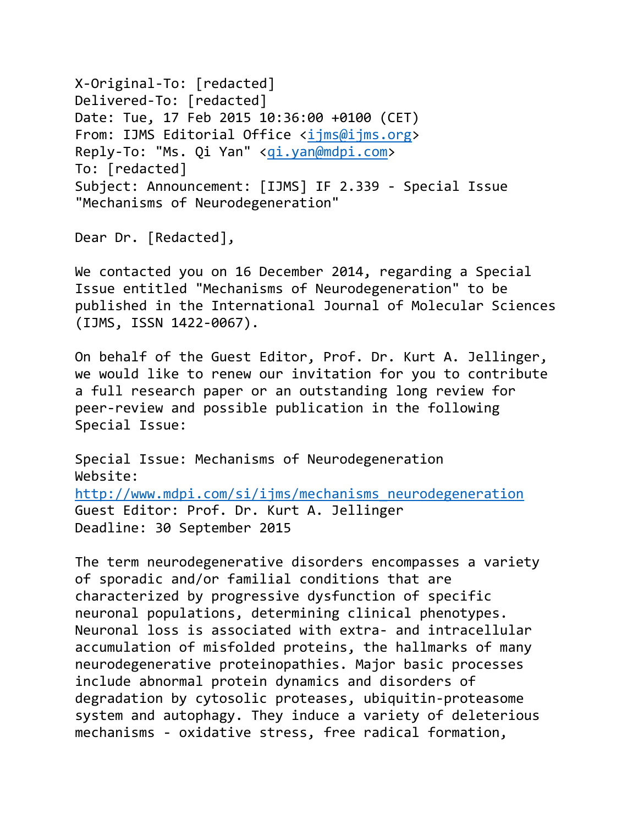X-Original-To: [redacted] Delivered-To: [redacted] Date: Tue, 17 Feb 2015 10:36:00 +0100 (CET) From: IJMS Editorial Office [<ijms@ijms.org>](mailto:ijms@ijms.org) Reply-To: "Ms. Qi Yan" [<qi.yan@mdpi.com>](mailto:qi.yan@mdpi.com) To: [redacted] Subject: Announcement: [IJMS] IF 2.339 - Special Issue "Mechanisms of Neurodegeneration"

Dear Dr. [Redacted],

We contacted you on 16 December 2014, regarding a Special Issue entitled "Mechanisms of Neurodegeneration" to be published in the International Journal of Molecular Sciences (IJMS, ISSN 1422-0067).

On behalf of the Guest Editor, Prof. Dr. Kurt A. Jellinger, we would like to renew our invitation for you to contribute a full research paper or an outstanding long review for peer-review and possible publication in the following Special Issue:

Special Issue: Mechanisms of Neurodegeneration Website: [http://www.mdpi.com/si/ijms/mechanisms\\_neurodegeneration](http://www.mdpi.com/si/ijms/mechanisms_neurodegeneration) Guest Editor: Prof. Dr. Kurt A. Jellinger Deadline: 30 September 2015

The term neurodegenerative disorders encompasses a variety of sporadic and/or familial conditions that are characterized by progressive dysfunction of specific neuronal populations, determining clinical phenotypes. Neuronal loss is associated with extra- and intracellular accumulation of misfolded proteins, the hallmarks of many neurodegenerative proteinopathies. Major basic processes include abnormal protein dynamics and disorders of degradation by cytosolic proteases, ubiquitin-proteasome system and autophagy. They induce a variety of deleterious mechanisms - oxidative stress, free radical formation,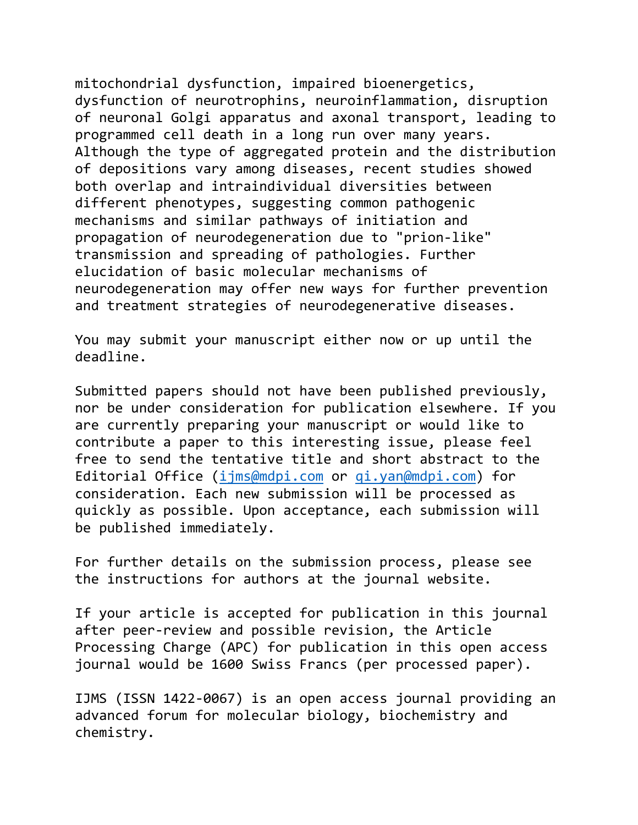mitochondrial dysfunction, impaired bioenergetics, dysfunction of neurotrophins, neuroinflammation, disruption of neuronal Golgi apparatus and axonal transport, leading to programmed cell death in a long run over many years. Although the type of aggregated protein and the distribution of depositions vary among diseases, recent studies showed both overlap and intraindividual diversities between different phenotypes, suggesting common pathogenic mechanisms and similar pathways of initiation and propagation of neurodegeneration due to "prion-like" transmission and spreading of pathologies. Further elucidation of basic molecular mechanisms of neurodegeneration may offer new ways for further prevention and treatment strategies of neurodegenerative diseases.

You may submit your manuscript either now or up until the deadline.

Submitted papers should not have been published previously, nor be under consideration for publication elsewhere. If you are currently preparing your manuscript or would like to contribute a paper to this interesting issue, please feel free to send the tentative title and short abstract to the Editorial Office [\(ijms@mdpi.com](mailto:ijms@mdpi.com) or [qi.yan@mdpi.com\)](mailto:qi.yan@mdpi.com) for consideration. Each new submission will be processed as quickly as possible. Upon acceptance, each submission will be published immediately.

For further details on the submission process, please see the instructions for authors at the journal website.

If your article is accepted for publication in this journal after peer-review and possible revision, the Article Processing Charge (APC) for publication in this open access journal would be 1600 Swiss Francs (per processed paper).

IJMS (ISSN 1422-0067) is an open access journal providing an advanced forum for molecular biology, biochemistry and chemistry.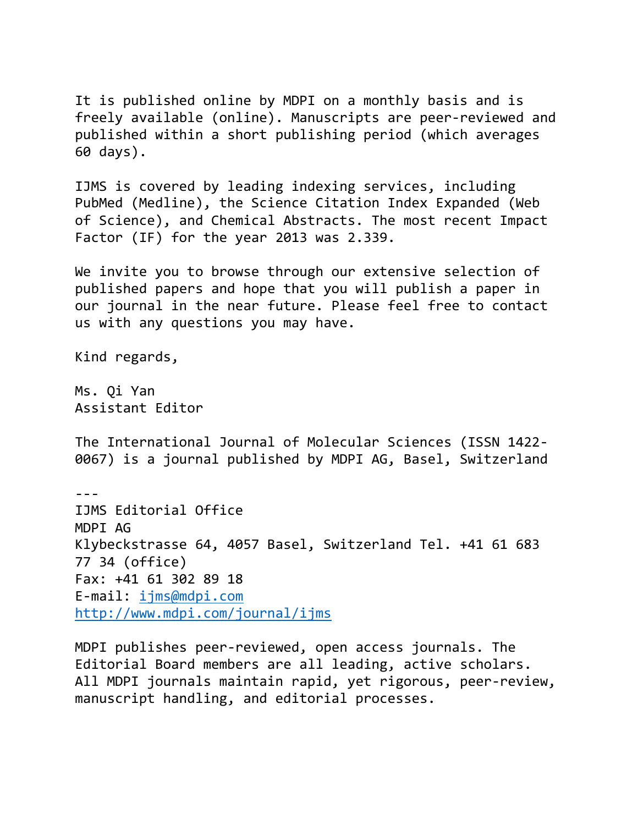It is published online by MDPI on a monthly basis and is freely available (online). Manuscripts are peer-reviewed and published within a short publishing period (which averages 60 days).

IJMS is covered by leading indexing services, including PubMed (Medline), the Science Citation Index Expanded (Web of Science), and Chemical Abstracts. The most recent Impact Factor (IF) for the year 2013 was 2.339.

We invite you to browse through our extensive selection of published papers and hope that you will publish a paper in our journal in the near future. Please feel free to contact us with any questions you may have.

Kind regards,

Ms. Qi Yan Assistant Editor

The International Journal of Molecular Sciences (ISSN 1422- 0067) is a journal published by MDPI AG, Basel, Switzerland

--- IJMS Editorial Office MDPI AG Klybeckstrasse 64, 4057 Basel, Switzerland Tel. +41 61 683 77 34 (office) Fax: +41 61 302 89 18 E-mail: [ijms@mdpi.com](mailto:ijms@mdpi.com) <http://www.mdpi.com/journal/ijms>

MDPI publishes peer-reviewed, open access journals. The Editorial Board members are all leading, active scholars. All MDPI journals maintain rapid, yet rigorous, peer-review, manuscript handling, and editorial processes.